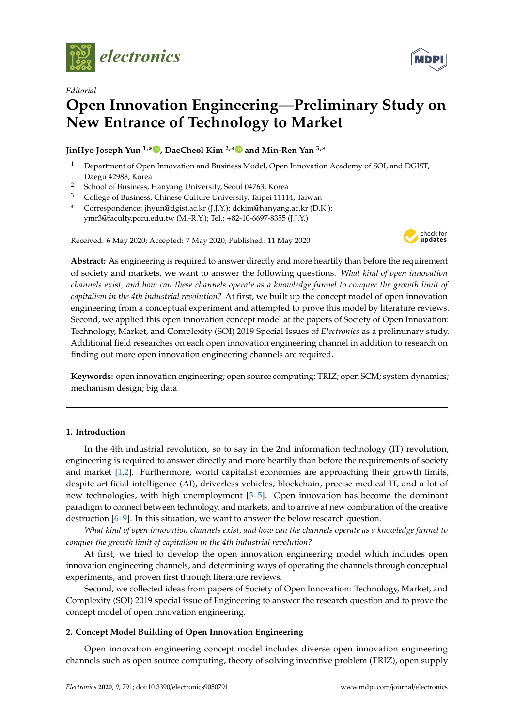

*Editorial*

# **Open Innovation Engineering—Preliminary Study on New Entrance of Technology to Market**

**JinHyo Joseph Yun 1,\* [,](https://orcid.org/0000-0003-2690-3550) DaeCheol Kim 2,[\\*](https://orcid.org/0000-0002-2127-5922) and Min-Ren Yan 3,\***

- <sup>1</sup> Department of Open Innovation and Business Model, Open Innovation Academy of SOI, and DGIST, Daegu 42988, Korea
- <sup>2</sup> School of Business, Hanyang University, Seoul 04763, Korea
- <sup>3</sup> College of Business, Chinese Culture University, Taipei 11114, Taiwan
- **\*** Correspondence: jhyun@dgist.ac.kr (J.J.Y.); dckim@hanyang.ac.kr (D.K.); ymr3@faculty.pccu.edu.tw (M.-R.Y.); Tel.: +82-10-6697-8355 (J.J.Y.)

Received: 6 May 2020; Accepted: 7 May 2020; Published: 11 May 2020



**Abstract:** As engineering is required to answer directly and more heartily than before the requirement of society and markets, we want to answer the following questions. *What kind of open innovation channels exist, and how can these channels operate as a knowledge funnel to conquer the growth limit of capitalism in the 4th industrial revolution?* At first, we built up the concept model of open innovation engineering from a conceptual experiment and attempted to prove this model by literature reviews. Second, we applied this open innovation concept model at the papers of Society of Open Innovation: Technology, Market, and Complexity (SOI) 2019 Special Issues of *Electronics* as a preliminary study. Additional field researches on each open innovation engineering channel in addition to research on finding out more open innovation engineering channels are required.

**Keywords:** open innovation engineering; open source computing; TRIZ; open SCM; system dynamics; mechanism design; big data

## <span id="page-0-0"></span>**1. Introduction**

In the 4th industrial revolution, so to say in the 2nd information technology (IT) revolution, engineering is required to answer directly and more heartily than before the requirements of society and market [\[1,](#page-7-0)[2\]](#page-7-1). Furthermore, world capitalist economies are approaching their growth limits, despite artificial intelligence (AI), driverless vehicles, blockchain, precise medical IT, and a lot of new technologies, with high unemployment [\[3–](#page-7-2)[5\]](#page-7-3). Open innovation has become the dominant paradigm to connect between technology, and markets, and to arrive at new combination of the creative destruction [\[6](#page-7-4)[–9\]](#page-7-5). In this situation, we want to answer the below research question.

*What kind of open innovation channels exist, and how can the channels operate as a knowledge funnel to conquer the growth limit of capitalism in the 4th industrial revolution?*

At first, we tried to develop the open innovation engineering model which includes open innovation engineering channels, and determining ways of operating the channels through conceptual experiments, and proven first through literature reviews.

Second, we collected ideas from papers of Society of Open Innovation: Technology, Market, and Complexity (SOI) 2019 special issue of Engineering to answer the research question and to prove the concept model of open innovation engineering.

## <span id="page-0-1"></span>**2. Concept Model Building of Open Innovation Engineering**

Open innovation engineering concept model includes diverse open innovation engineering channels such as open source computing, theory of solving inventive problem (TRIZ), open supply

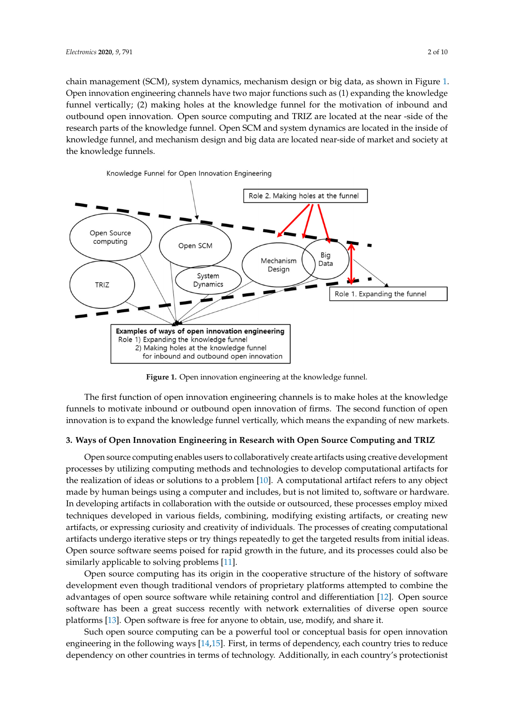chain management (SCM), system dynamics, mechanism design or big data, as shown in Figure [1.](#page-1-0) Open innovation engineering channels have two major functions such as (1) expanding the knowledge Open innovation engineering channels have two major functions such as 1) expanding the funnel vertically; (2) making holes at the knowledge funnel for the motivation of inbound and outbound open innovation. Open source computing and TRIZ are located at the near -side of the research parts of the knowledge funnel. Open SCM and system dynamics are located in the inside of research parts of the knowledge funnel. Open SCM and system dynamics are located in the inside of knowledge funnel, and mechanism design and big data are located near-side of market and society at knowledge funnel, and mechanism design and big data are located near-side of market and society the knowledge funnels. at the knowledge funnels.

<span id="page-1-0"></span>

**Figure 1.** Open innovation engineering at the knowledge funnel. **Figure 1.** Open innovation engineering at the knowledge funnel.

funnels to motivate inbound or outbound open innovation of firms. The second function of open innovation is to expand the knowledge funnel vertically, which means the expanding of new markets. innovation is to expand the knowledge function  $\frac{1}{\sqrt{2}}$ The first function of open innovation engineering channels is to make holes at the knowledge

#### <span id="page-1-1"></span>**3. Ways of Open Innovation Engineering in Research with Open Source Computing and TRIZ**

**3. Ways of Open Innovation Engineering in Research with Open Source Computing and TRIZ**  processes by utilizing computing methods and technologies to develop computational artifacts for the realization of ideas or solutions to a problem [\[10\]](#page-7-6). A computational artifact refers to any object made by human beings using a computer and includes, but is not limited to, software or hardware. In developing artifacts in collaboration with the outside or outsourced, these processes employ mixed techniques developed in various fields, combining, modifying existing artifacts, or creating new artifacts, or expressing curiosity and creativity of individuals. The processes of creating computational artifacts undergo iterative steps or try things repeatedly to get the targeted results from initial ideas. Open source software seems poised for rapid growth in the future, and its processes could also be similarly applicable to solving problems [\[11\]](#page-7-7). Open source computing enables users to collaboratively create artifacts using creative development

Open source computing has its origin in the cooperative structure of the history of software development even though traditional vendors of proprietary platforms attempted to combine the advantages of open source software while retaining control and differentiation [\[12\]](#page-7-8). Open source software has been a great success recently with network externalities of diverse open source platforms [\[13\]](#page-7-9). Open software is free for anyone to obtain, use, modify, and share it.

Such open source computing can be a powerful tool or conceptual basis for open innovation engineering in the following ways [\[14,](#page-7-10)[15\]](#page-7-11). First, in terms of dependency, each country tries to reduce dependency on other countries in terms of technology. Additionally, in each country's protectionist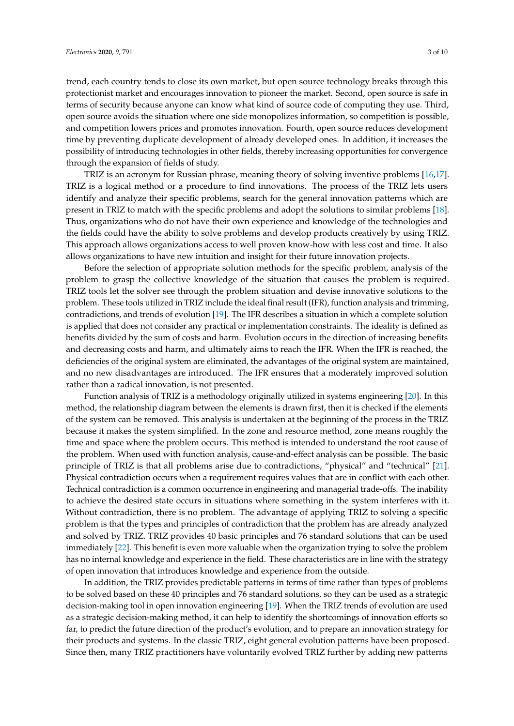trend, each country tends to close its own market, but open source technology breaks through this protectionist market and encourages innovation to pioneer the market. Second, open source is safe in terms of security because anyone can know what kind of source code of computing they use. Third, open source avoids the situation where one side monopolizes information, so competition is possible, and competition lowers prices and promotes innovation. Fourth, open source reduces development time by preventing duplicate development of already developed ones. In addition, it increases the possibility of introducing technologies in other fields, thereby increasing opportunities for convergence through the expansion of fields of study.

TRIZ is an acronym for Russian phrase, meaning theory of solving inventive problems [\[16,](#page-7-12)[17\]](#page-7-13). TRIZ is a logical method or a procedure to find innovations. The process of the TRIZ lets users identify and analyze their specific problems, search for the general innovation patterns which are present in TRIZ to match with the specific problems and adopt the solutions to similar problems [\[18\]](#page-7-14). Thus, organizations who do not have their own experience and knowledge of the technologies and the fields could have the ability to solve problems and develop products creatively by using TRIZ. This approach allows organizations access to well proven know-how with less cost and time. It also allows organizations to have new intuition and insight for their future innovation projects.

Before the selection of appropriate solution methods for the specific problem, analysis of the problem to grasp the collective knowledge of the situation that causes the problem is required. TRIZ tools let the solver see through the problem situation and devise innovative solutions to the problem. These tools utilized in TRIZ include the ideal final result (IFR), function analysis and trimming, contradictions, and trends of evolution [\[19\]](#page-7-15). The IFR describes a situation in which a complete solution is applied that does not consider any practical or implementation constraints. The ideality is defined as benefits divided by the sum of costs and harm. Evolution occurs in the direction of increasing benefits and decreasing costs and harm, and ultimately aims to reach the IFR. When the IFR is reached, the deficiencies of the original system are eliminated, the advantages of the original system are maintained, and no new disadvantages are introduced. The IFR ensures that a moderately improved solution rather than a radical innovation, is not presented.

Function analysis of TRIZ is a methodology originally utilized in systems engineering [\[20\]](#page-7-16). In this method, the relationship diagram between the elements is drawn first, then it is checked if the elements of the system can be removed. This analysis is undertaken at the beginning of the process in the TRIZ because it makes the system simplified. In the zone and resource method, zone means roughly the time and space where the problem occurs. This method is intended to understand the root cause of the problem. When used with function analysis, cause-and-effect analysis can be possible. The basic principle of TRIZ is that all problems arise due to contradictions, "physical" and "technical" [\[21\]](#page-7-17). Physical contradiction occurs when a requirement requires values that are in conflict with each other. Technical contradiction is a common occurrence in engineering and managerial trade-offs. The inability to achieve the desired state occurs in situations where something in the system interferes with it. Without contradiction, there is no problem. The advantage of applying TRIZ to solving a specific problem is that the types and principles of contradiction that the problem has are already analyzed and solved by TRIZ. TRIZ provides 40 basic principles and 76 standard solutions that can be used immediately [\[22\]](#page-7-18). This benefit is even more valuable when the organization trying to solve the problem has no internal knowledge and experience in the field. These characteristics are in line with the strategy of open innovation that introduces knowledge and experience from the outside.

In addition, the TRIZ provides predictable patterns in terms of time rather than types of problems to be solved based on these 40 principles and 76 standard solutions, so they can be used as a strategic decision-making tool in open innovation engineering [\[19\]](#page-7-15). When the TRIZ trends of evolution are used as a strategic decision-making method, it can help to identify the shortcomings of innovation efforts so far, to predict the future direction of the product's evolution, and to prepare an innovation strategy for their products and systems. In the classic TRIZ, eight general evolution patterns have been proposed. Since then, many TRIZ practitioners have voluntarily evolved TRIZ further by adding new patterns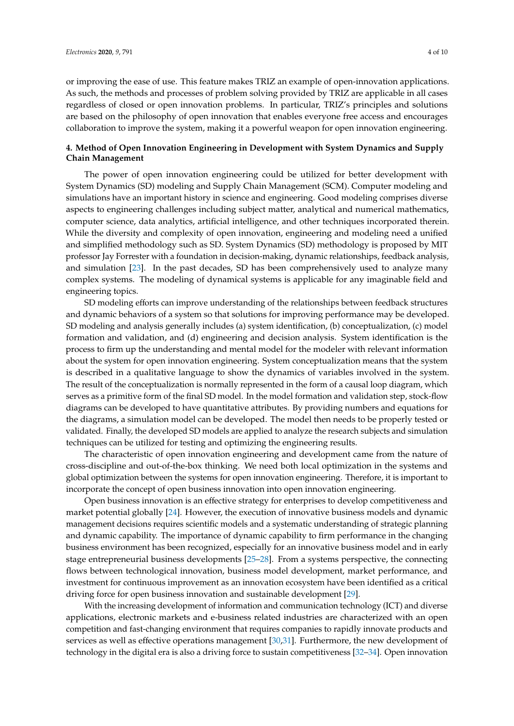or improving the ease of use. This feature makes TRIZ an example of open-innovation applications. As such, the methods and processes of problem solving provided by TRIZ are applicable in all cases regardless of closed or open innovation problems. In particular, TRIZ's principles and solutions are based on the philosophy of open innovation that enables everyone free access and encourages collaboration to improve the system, making it a powerful weapon for open innovation engineering.

## <span id="page-3-0"></span>**4. Method of Open Innovation Engineering in Development with System Dynamics and Supply Chain Management**

The power of open innovation engineering could be utilized for better development with System Dynamics (SD) modeling and Supply Chain Management (SCM). Computer modeling and simulations have an important history in science and engineering. Good modeling comprises diverse aspects to engineering challenges including subject matter, analytical and numerical mathematics, computer science, data analytics, artificial intelligence, and other techniques incorporated therein. While the diversity and complexity of open innovation, engineering and modeling need a unified and simplified methodology such as SD. System Dynamics (SD) methodology is proposed by MIT professor Jay Forrester with a foundation in decision-making, dynamic relationships, feedback analysis, and simulation [\[23\]](#page-7-19). In the past decades, SD has been comprehensively used to analyze many complex systems. The modeling of dynamical systems is applicable for any imaginable field and engineering topics.

SD modeling efforts can improve understanding of the relationships between feedback structures and dynamic behaviors of a system so that solutions for improving performance may be developed. SD modeling and analysis generally includes (a) system identification, (b) conceptualization, (c) model formation and validation, and (d) engineering and decision analysis. System identification is the process to firm up the understanding and mental model for the modeler with relevant information about the system for open innovation engineering. System conceptualization means that the system is described in a qualitative language to show the dynamics of variables involved in the system. The result of the conceptualization is normally represented in the form of a causal loop diagram, which serves as a primitive form of the final SD model. In the model formation and validation step, stock-flow diagrams can be developed to have quantitative attributes. By providing numbers and equations for the diagrams, a simulation model can be developed. The model then needs to be properly tested or validated. Finally, the developed SD models are applied to analyze the research subjects and simulation techniques can be utilized for testing and optimizing the engineering results.

The characteristic of open innovation engineering and development came from the nature of cross-discipline and out-of-the-box thinking. We need both local optimization in the systems and global optimization between the systems for open innovation engineering. Therefore, it is important to incorporate the concept of open business innovation into open innovation engineering.

Open business innovation is an effective strategy for enterprises to develop competitiveness and market potential globally [\[24\]](#page-7-20). However, the execution of innovative business models and dynamic management decisions requires scientific models and a systematic understanding of strategic planning and dynamic capability. The importance of dynamic capability to firm performance in the changing business environment has been recognized, especially for an innovative business model and in early stage entrepreneurial business developments [\[25](#page-8-0)[–28\]](#page-8-1). From a systems perspective, the connecting flows between technological innovation, business model development, market performance, and investment for continuous improvement as an innovation ecosystem have been identified as a critical driving force for open business innovation and sustainable development [\[29\]](#page-8-2).

With the increasing development of information and communication technology (ICT) and diverse applications, electronic markets and e-business related industries are characterized with an open competition and fast-changing environment that requires companies to rapidly innovate products and services as well as effective operations management [\[30,](#page-8-3)[31\]](#page-8-4). Furthermore, the new development of technology in the digital era is also a driving force to sustain competitiveness [\[32–](#page-8-5)[34\]](#page-8-6). Open innovation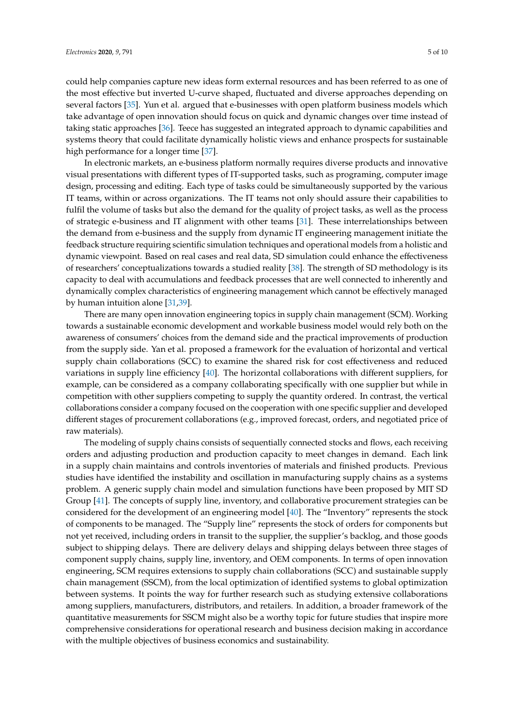could help companies capture new ideas form external resources and has been referred to as one of the most effective but inverted U-curve shaped, fluctuated and diverse approaches depending on several factors [\[35\]](#page-8-7). Yun et al. argued that e-businesses with open platform business models which take advantage of open innovation should focus on quick and dynamic changes over time instead of taking static approaches [\[36\]](#page-8-8). Teece has suggested an integrated approach to dynamic capabilities and systems theory that could facilitate dynamically holistic views and enhance prospects for sustainable high performance for a longer time [\[37\]](#page-8-9).

In electronic markets, an e-business platform normally requires diverse products and innovative visual presentations with different types of IT-supported tasks, such as programing, computer image design, processing and editing. Each type of tasks could be simultaneously supported by the various IT teams, within or across organizations. The IT teams not only should assure their capabilities to fulfil the volume of tasks but also the demand for the quality of project tasks, as well as the process of strategic e-business and IT alignment with other teams [\[31\]](#page-8-4). These interrelationships between the demand from e-business and the supply from dynamic IT engineering management initiate the feedback structure requiring scientific simulation techniques and operational models from a holistic and dynamic viewpoint. Based on real cases and real data, SD simulation could enhance the effectiveness of researchers' conceptualizations towards a studied reality [\[38\]](#page-8-10). The strength of SD methodology is its capacity to deal with accumulations and feedback processes that are well connected to inherently and dynamically complex characteristics of engineering management which cannot be effectively managed by human intuition alone [\[31](#page-8-4)[,39\]](#page-8-11).

There are many open innovation engineering topics in supply chain management (SCM). Working towards a sustainable economic development and workable business model would rely both on the awareness of consumers' choices from the demand side and the practical improvements of production from the supply side. Yan et al. proposed a framework for the evaluation of horizontal and vertical supply chain collaborations (SCC) to examine the shared risk for cost effectiveness and reduced variations in supply line efficiency [\[40\]](#page-8-12). The horizontal collaborations with different suppliers, for example, can be considered as a company collaborating specifically with one supplier but while in competition with other suppliers competing to supply the quantity ordered. In contrast, the vertical collaborations consider a company focused on the cooperation with one specific supplier and developed different stages of procurement collaborations (e.g., improved forecast, orders, and negotiated price of raw materials).

The modeling of supply chains consists of sequentially connected stocks and flows, each receiving orders and adjusting production and production capacity to meet changes in demand. Each link in a supply chain maintains and controls inventories of materials and finished products. Previous studies have identified the instability and oscillation in manufacturing supply chains as a systems problem. A generic supply chain model and simulation functions have been proposed by MIT SD Group [\[41\]](#page-8-13). The concepts of supply line, inventory, and collaborative procurement strategies can be considered for the development of an engineering model [\[40\]](#page-8-12). The "Inventory" represents the stock of components to be managed. The "Supply line" represents the stock of orders for components but not yet received, including orders in transit to the supplier, the supplier's backlog, and those goods subject to shipping delays. There are delivery delays and shipping delays between three stages of component supply chains, supply line, inventory, and OEM components. In terms of open innovation engineering, SCM requires extensions to supply chain collaborations (SCC) and sustainable supply chain management (SSCM), from the local optimization of identified systems to global optimization between systems. It points the way for further research such as studying extensive collaborations among suppliers, manufacturers, distributors, and retailers. In addition, a broader framework of the quantitative measurements for SSCM might also be a worthy topic for future studies that inspire more comprehensive considerations for operational research and business decision making in accordance with the multiple objectives of business economics and sustainability.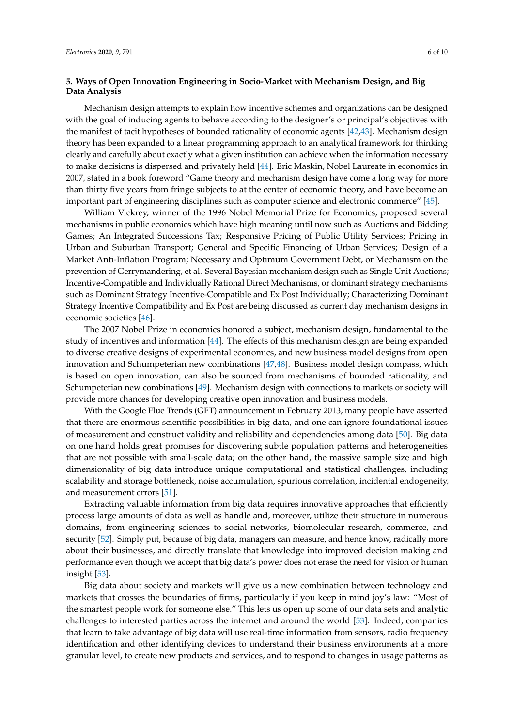## <span id="page-5-0"></span>**5. Ways of Open Innovation Engineering in Socio-Market with Mechanism Design, and Big Data Analysis**

Mechanism design attempts to explain how incentive schemes and organizations can be designed with the goal of inducing agents to behave according to the designer's or principal's objectives with the manifest of tacit hypotheses of bounded rationality of economic agents [\[42](#page-8-14)[,43\]](#page-8-15). Mechanism design theory has been expanded to a linear programming approach to an analytical framework for thinking clearly and carefully about exactly what a given institution can achieve when the information necessary to make decisions is dispersed and privately held [\[44\]](#page-8-16). Eric Maskin, Nobel Laureate in economics in 2007, stated in a book foreword "Game theory and mechanism design have come a long way for more than thirty five years from fringe subjects to at the center of economic theory, and have become an important part of engineering disciplines such as computer science and electronic commerce" [\[45\]](#page-8-17).

William Vickrey, winner of the 1996 Nobel Memorial Prize for Economics, proposed several mechanisms in public economics which have high meaning until now such as Auctions and Bidding Games; An Integrated Successions Tax; Responsive Pricing of Public Utility Services; Pricing in Urban and Suburban Transport; General and Specific Financing of Urban Services; Design of a Market Anti-Inflation Program; Necessary and Optimum Government Debt, or Mechanism on the prevention of Gerrymandering, et al. Several Bayesian mechanism design such as Single Unit Auctions; Incentive-Compatible and Individually Rational Direct Mechanisms, or dominant strategy mechanisms such as Dominant Strategy Incentive-Compatible and Ex Post Individually; Characterizing Dominant Strategy Incentive Compatibility and Ex Post are being discussed as current day mechanism designs in economic societies [\[46\]](#page-8-18).

The 2007 Nobel Prize in economics honored a subject, mechanism design, fundamental to the study of incentives and information [\[44\]](#page-8-16). The effects of this mechanism design are being expanded to diverse creative designs of experimental economics, and new business model designs from open innovation and Schumpeterian new combinations [\[47](#page-8-19)[,48\]](#page-8-20). Business model design compass, which is based on open innovation, can also be sourced from mechanisms of bounded rationality, and Schumpeterian new combinations [\[49\]](#page-8-21). Mechanism design with connections to markets or society will provide more chances for developing creative open innovation and business models.

With the Google Flue Trends (GFT) announcement in February 2013, many people have asserted that there are enormous scientific possibilities in big data, and one can ignore foundational issues of measurement and construct validity and reliability and dependencies among data [\[50\]](#page-8-22). Big data on one hand holds great promises for discovering subtle population patterns and heterogeneities that are not possible with small-scale data; on the other hand, the massive sample size and high dimensionality of big data introduce unique computational and statistical challenges, including scalability and storage bottleneck, noise accumulation, spurious correlation, incidental endogeneity, and measurement errors [\[51\]](#page-8-23).

Extracting valuable information from big data requires innovative approaches that efficiently process large amounts of data as well as handle and, moreover, utilize their structure in numerous domains, from engineering sciences to social networks, biomolecular research, commerce, and security [\[52\]](#page-9-0). Simply put, because of big data, managers can measure, and hence know, radically more about their businesses, and directly translate that knowledge into improved decision making and performance even though we accept that big data's power does not erase the need for vision or human insight [\[53\]](#page-9-1).

Big data about society and markets will give us a new combination between technology and markets that crosses the boundaries of firms, particularly if you keep in mind joy's law: "Most of the smartest people work for someone else." This lets us open up some of our data sets and analytic challenges to interested parties across the internet and around the world [\[53\]](#page-9-1). Indeed, companies that learn to take advantage of big data will use real-time information from sensors, radio frequency identification and other identifying devices to understand their business environments at a more granular level, to create new products and services, and to respond to changes in usage patterns as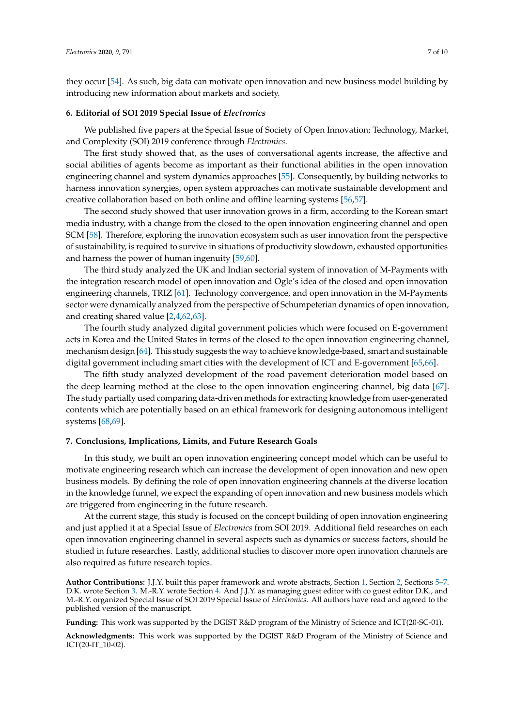they occur [\[54\]](#page-9-2). As such, big data can motivate open innovation and new business model building by introducing new information about markets and society.

#### **6. Editorial of SOI 2019 Special Issue of** *Electronics*

We published five papers at the Special Issue of Society of Open Innovation; Technology, Market, and Complexity (SOI) 2019 conference through *Electronics*.

The first study showed that, as the uses of conversational agents increase, the affective and social abilities of agents become as important as their functional abilities in the open innovation engineering channel and system dynamics approaches [\[55\]](#page-9-3). Consequently, by building networks to harness innovation synergies, open system approaches can motivate sustainable development and creative collaboration based on both online and offline learning systems [\[56,](#page-9-4)[57\]](#page-9-5).

The second study showed that user innovation grows in a firm, according to the Korean smart media industry, with a change from the closed to the open innovation engineering channel and open SCM [\[58\]](#page-9-6). Therefore, exploring the innovation ecosystem such as user innovation from the perspective of sustainability, is required to survive in situations of productivity slowdown, exhausted opportunities and harness the power of human ingenuity [\[59,](#page-9-7)[60\]](#page-9-8).

The third study analyzed the UK and Indian sectorial system of innovation of M-Payments with the integration research model of open innovation and Ogle's idea of the closed and open innovation engineering channels, TRIZ [\[61\]](#page-9-9). Technology convergence, and open innovation in the M-Payments sector were dynamically analyzed from the perspective of Schumpeterian dynamics of open innovation, and creating shared value [\[2](#page-7-1)[,4](#page-7-21)[,62](#page-9-10)[,63\]](#page-9-11).

The fourth study analyzed digital government policies which were focused on E-government acts in Korea and the United States in terms of the closed to the open innovation engineering channel, mechanism design [\[64\]](#page-9-12). This study suggests the way to achieve knowledge-based, smart and sustainable digital government including smart cities with the development of ICT and E-government [\[65,](#page-9-13)[66\]](#page-9-14).

The fifth study analyzed development of the road pavement deterioration model based on the deep learning method at the close to the open innovation engineering channel, big data [\[67\]](#page-9-15). The study partially used comparing data-driven methods for extracting knowledge from user-generated contents which are potentially based on an ethical framework for designing autonomous intelligent systems [\[68](#page-9-16)[,69\]](#page-9-17).

#### <span id="page-6-0"></span>**7. Conclusions, Implications, Limits, and Future Research Goals**

In this study, we built an open innovation engineering concept model which can be useful to motivate engineering research which can increase the development of open innovation and new open business models. By defining the role of open innovation engineering channels at the diverse location in the knowledge funnel, we expect the expanding of open innovation and new business models which are triggered from engineering in the future research.

At the current stage, this study is focused on the concept building of open innovation engineering and just applied it at a Special Issue of *Electronics* from SOI 2019. Additional field researches on each open innovation engineering channel in several aspects such as dynamics or success factors, should be studied in future researches. Lastly, additional studies to discover more open innovation channels are also required as future research topics.

**Author Contributions:** J.J.Y. built this paper framework and wrote abstracts, Section [1,](#page-0-0) Section [2,](#page-0-1) Sections [5](#page-5-0)[–7.](#page-6-0) D.K. wrote Section [3.](#page-1-1) M.-R.Y. wrote Section [4.](#page-3-0) And J.J.Y. as managing guest editor with co guest editor D.K., and M.-R.Y. organized Special Issue of SOI 2019 Special Issue of *Electronics*. All authors have read and agreed to the published version of the manuscript.

**Funding:** This work was supported by the DGIST R&D program of the Ministry of Science and ICT(20-SC-01).

**Acknowledgments:** This work was supported by the DGIST R&D Program of the Ministry of Science and ICT(20-IT\_10-02).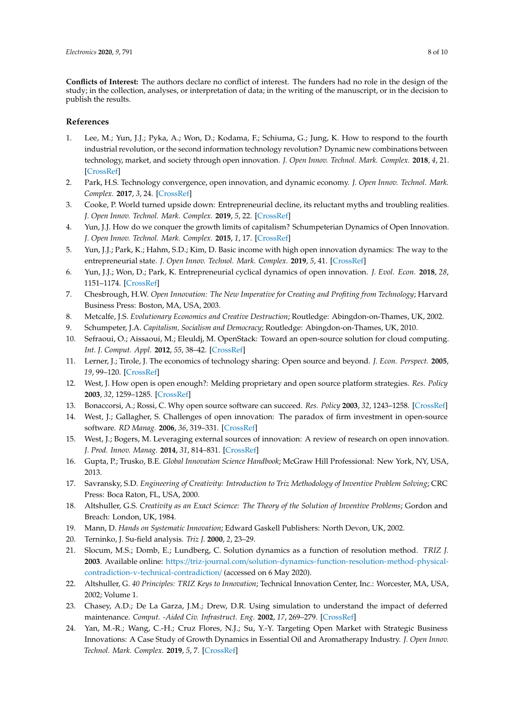**Conflicts of Interest:** The authors declare no conflict of interest. The funders had no role in the design of the study; in the collection, analyses, or interpretation of data; in the writing of the manuscript, or in the decision to publish the results.

### **References**

- <span id="page-7-0"></span>1. Lee, M.; Yun, J.J.; Pyka, A.; Won, D.; Kodama, F.; Schiuma, G.; Jung, K. How to respond to the fourth industrial revolution, or the second information technology revolution? Dynamic new combinations between technology, market, and society through open innovation. *J. Open Innov. Technol. Mark. Complex.* **2018**, *4*, 21. [\[CrossRef\]](http://dx.doi.org/10.3390/joitmc4030021)
- <span id="page-7-1"></span>2. Park, H.S. Technology convergence, open innovation, and dynamic economy. *J. Open Innov. Technol. Mark. Complex.* **2017**, *3*, 24. [\[CrossRef\]](http://dx.doi.org/10.1186/s40852-017-0074-z)
- <span id="page-7-2"></span>3. Cooke, P. World turned upside down: Entrepreneurial decline, its reluctant myths and troubling realities. *J. Open Innov. Technol. Mark. Complex.* **2019**, *5*, 22. [\[CrossRef\]](http://dx.doi.org/10.3390/joitmc5020022)
- <span id="page-7-21"></span>4. Yun, J.J. How do we conquer the growth limits of capitalism? Schumpeterian Dynamics of Open Innovation. *J. Open Innov. Technol. Mark. Complex.* **2015**, *1*, 17. [\[CrossRef\]](http://dx.doi.org/10.1186/s40852-015-0019-3)
- <span id="page-7-3"></span>5. Yun, J.J.; Park, K.; Hahm, S.D.; Kim, D. Basic income with high open innovation dynamics: The way to the entrepreneurial state. *J. Open Innov. Technol. Mark. Complex.* **2019**, *5*, 41. [\[CrossRef\]](http://dx.doi.org/10.3390/joitmc5030041)
- <span id="page-7-4"></span>6. Yun, J.J.; Won, D.; Park, K. Entrepreneurial cyclical dynamics of open innovation. *J. Evol. Econ.* **2018**, *28*, 1151–1174. [\[CrossRef\]](http://dx.doi.org/10.1007/s00191-018-0596-y)
- 7. Chesbrough, H.W. *Open Innovation: The New Imperative for Creating and Profiting from Technology*; Harvard Business Press: Boston, MA, USA, 2003.
- 8. Metcalfe, J.S. *Evolutionary Economics and Creative Destruction*; Routledge: Abingdon-on-Thames, UK, 2002.
- <span id="page-7-5"></span>9. Schumpeter, J.A. *Capitalism, Socialism and Democracy*; Routledge: Abingdon-on-Thames, UK, 2010.
- <span id="page-7-6"></span>10. Sefraoui, O.; Aissaoui, M.; Eleuldj, M. OpenStack: Toward an open-source solution for cloud computing. *Int. J. Comput. Appl.* **2012**, *55*, 38–42. [\[CrossRef\]](http://dx.doi.org/10.5120/8738-2991)
- <span id="page-7-7"></span>11. Lerner, J.; Tirole, J. The economics of technology sharing: Open source and beyond. *J. Econ. Perspect.* **2005**, *19*, 99–120. [\[CrossRef\]](http://dx.doi.org/10.1257/0895330054048678)
- <span id="page-7-8"></span>12. West, J. How open is open enough?: Melding proprietary and open source platform strategies. *Res. Policy* **2003**, *32*, 1259–1285. [\[CrossRef\]](http://dx.doi.org/10.1016/S0048-7333(03)00052-0)
- <span id="page-7-9"></span>13. Bonaccorsi, A.; Rossi, C. Why open source software can succeed. *Res. Policy* **2003**, *32*, 1243–1258. [\[CrossRef\]](http://dx.doi.org/10.1016/S0048-7333(03)00051-9)
- <span id="page-7-10"></span>14. West, J.; Gallagher, S. Challenges of open innovation: The paradox of firm investment in open-source software. *RD Manag.* **2006**, *36*, 319–331. [\[CrossRef\]](http://dx.doi.org/10.1111/j.1467-9310.2006.00436.x)
- <span id="page-7-11"></span>15. West, J.; Bogers, M. Leveraging external sources of innovation: A review of research on open innovation. *J. Prod. Innov. Manag.* **2014**, *31*, 814–831. [\[CrossRef\]](http://dx.doi.org/10.1111/jpim.12125)
- <span id="page-7-12"></span>16. Gupta, P.; Trusko, B.E. *Global Innovation Science Handbook*; McGraw Hill Professional: New York, NY, USA, 2013.
- <span id="page-7-13"></span>17. Savransky, S.D. *Engineering of Creativity: Introduction to Triz Methodology of Inventive Problem Solving*; CRC Press: Boca Raton, FL, USA, 2000.
- <span id="page-7-14"></span>18. Altshuller, G.S. *Creativity as an Exact Science: The Theory of the Solution of Inventive Problems*; Gordon and Breach: London, UK, 1984.
- <span id="page-7-15"></span>19. Mann, D. *Hands on Systematic Innovation*; Edward Gaskell Publishers: North Devon, UK, 2002.
- <span id="page-7-16"></span>20. Terninko, J. Su-field analysis. *Triz J.* **2000**, *2*, 23–29.
- <span id="page-7-17"></span>21. Slocum, M.S.; Domb, E.; Lundberg, C. Solution dynamics as a function of resolution method. *TRIZ J.* **2003**. Available online: https://triz-journal.com/[solution-dynamics-function-resolution-method-physical](https://triz-journal.com/solution-dynamics-function-resolution-method-physical-contradiction-v-technical-contradiction/)[contradiction-v-technical-contradiction](https://triz-journal.com/solution-dynamics-function-resolution-method-physical-contradiction-v-technical-contradiction/)/ (accessed on 6 May 2020).
- <span id="page-7-18"></span>22. Altshuller, G. *40 Principles: TRIZ Keys to Innovation*; Technical Innovation Center, Inc.: Worcester, MA, USA, 2002; Volume 1.
- <span id="page-7-19"></span>23. Chasey, A.D.; De La Garza, J.M.; Drew, D.R. Using simulation to understand the impact of deferred maintenance. *Comput. -Aided Civ. Infrastruct. Eng.* **2002**, *17*, 269–279. [\[CrossRef\]](http://dx.doi.org/10.1111/1467-8667.00275)
- <span id="page-7-20"></span>24. Yan, M.-R.; Wang, C.-H.; Cruz Flores, N.J.; Su, Y.-Y. Targeting Open Market with Strategic Business Innovations: A Case Study of Growth Dynamics in Essential Oil and Aromatherapy Industry. *J. Open Innov. Technol. Mark. Complex.* **2019**, *5*, 7. [\[CrossRef\]](http://dx.doi.org/10.3390/joitmc5010007)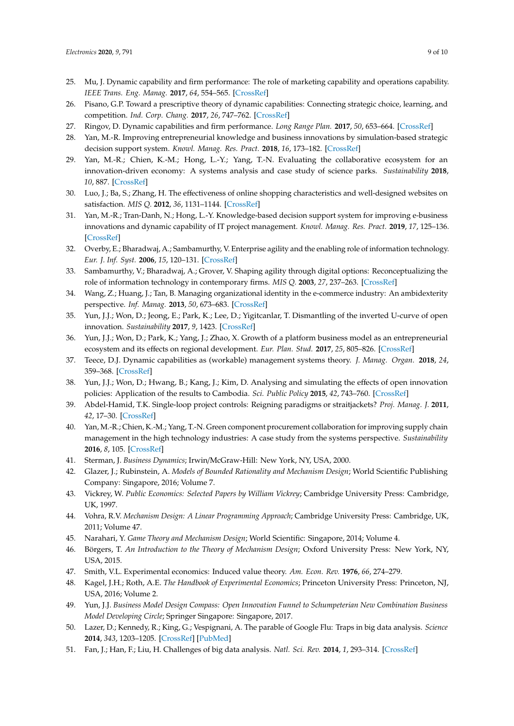- <span id="page-8-0"></span>25. Mu, J. Dynamic capability and firm performance: The role of marketing capability and operations capability. *IEEE Trans. Eng. Manag.* **2017**, *64*, 554–565. [\[CrossRef\]](http://dx.doi.org/10.1109/TEM.2017.2712099)
- 26. Pisano, G.P. Toward a prescriptive theory of dynamic capabilities: Connecting strategic choice, learning, and competition. *Ind. Corp. Chang.* **2017**, *26*, 747–762. [\[CrossRef\]](http://dx.doi.org/10.1093/icc/dtx026)
- 27. Ringov, D. Dynamic capabilities and firm performance. *Long Range Plan.* **2017**, *50*, 653–664. [\[CrossRef\]](http://dx.doi.org/10.1016/j.lrp.2017.02.005)
- <span id="page-8-1"></span>28. Yan, M.-R. Improving entrepreneurial knowledge and business innovations by simulation-based strategic decision support system. *Knowl. Manag. Res. Pract.* **2018**, *16*, 173–182. [\[CrossRef\]](http://dx.doi.org/10.1080/14778238.2018.1442994)
- <span id="page-8-2"></span>29. Yan, M.-R.; Chien, K.-M.; Hong, L.-Y.; Yang, T.-N. Evaluating the collaborative ecosystem for an innovation-driven economy: A systems analysis and case study of science parks. *Sustainability* **2018**, *10*, 887. [\[CrossRef\]](http://dx.doi.org/10.3390/su10030887)
- <span id="page-8-3"></span>30. Luo, J.; Ba, S.; Zhang, H. The effectiveness of online shopping characteristics and well-designed websites on satisfaction. *MIS Q.* **2012**, *36*, 1131–1144. [\[CrossRef\]](http://dx.doi.org/10.2307/41703501)
- <span id="page-8-4"></span>31. Yan, M.-R.; Tran-Danh, N.; Hong, L.-Y. Knowledge-based decision support system for improving e-business innovations and dynamic capability of IT project management. *Knowl. Manag. Res. Pract.* **2019**, *17*, 125–136. [\[CrossRef\]](http://dx.doi.org/10.1080/14778238.2019.1601507)
- <span id="page-8-5"></span>32. Overby, E.; Bharadwaj, A.; Sambamurthy, V. Enterprise agility and the enabling role of information technology. *Eur. J. Inf. Syst.* **2006**, *15*, 120–131. [\[CrossRef\]](http://dx.doi.org/10.1057/palgrave.ejis.3000600)
- 33. Sambamurthy, V.; Bharadwaj, A.; Grover, V. Shaping agility through digital options: Reconceptualizing the role of information technology in contemporary firms. *MIS Q.* **2003**, *27*, 237–263. [\[CrossRef\]](http://dx.doi.org/10.2307/30036530)
- <span id="page-8-6"></span>34. Wang, Z.; Huang, J.; Tan, B. Managing organizational identity in the e-commerce industry: An ambidexterity perspective. *Inf. Manag.* **2013**, *50*, 673–683. [\[CrossRef\]](http://dx.doi.org/10.1016/j.im.2013.05.002)
- <span id="page-8-7"></span>35. Yun, J.J.; Won, D.; Jeong, E.; Park, K.; Lee, D.; Yigitcanlar, T. Dismantling of the inverted U-curve of open innovation. *Sustainability* **2017**, *9*, 1423. [\[CrossRef\]](http://dx.doi.org/10.3390/su9081423)
- <span id="page-8-8"></span>36. Yun, J.J.; Won, D.; Park, K.; Yang, J.; Zhao, X. Growth of a platform business model as an entrepreneurial ecosystem and its effects on regional development. *Eur. Plan. Stud.* **2017**, *25*, 805–826. [\[CrossRef\]](http://dx.doi.org/10.1080/09654313.2017.1282082)
- <span id="page-8-9"></span>37. Teece, D.J. Dynamic capabilities as (workable) management systems theory. *J. Manag. Organ.* **2018**, *24*, 359–368. [\[CrossRef\]](http://dx.doi.org/10.1017/jmo.2017.75)
- <span id="page-8-10"></span>38. Yun, J.J.; Won, D.; Hwang, B.; Kang, J.; Kim, D. Analysing and simulating the effects of open innovation policies: Application of the results to Cambodia. *Sci. Public Policy* **2015**, *42*, 743–760. [\[CrossRef\]](http://dx.doi.org/10.1093/scipol/scu085)
- <span id="page-8-11"></span>39. Abdel-Hamid, T.K. Single-loop project controls: Reigning paradigms or straitjackets? *Proj. Manag. J.* **2011**, *42*, 17–30. [\[CrossRef\]](http://dx.doi.org/10.1002/pmj.20176)
- <span id="page-8-12"></span>40. Yan, M.-R.; Chien, K.-M.; Yang, T.-N. Green component procurement collaboration for improving supply chain management in the high technology industries: A case study from the systems perspective. *Sustainability* **2016**, *8*, 105. [\[CrossRef\]](http://dx.doi.org/10.3390/su8020105)
- <span id="page-8-13"></span>41. Sterman, J. *Business Dynamics*; Irwin/McGraw-Hill: New York, NY, USA, 2000.
- <span id="page-8-14"></span>42. Glazer, J.; Rubinstein, A. *Models of Bounded Rationality and Mechanism Design*; World Scientific Publishing Company: Singapore, 2016; Volume 7.
- <span id="page-8-15"></span>43. Vickrey, W. *Public Economics: Selected Papers by William Vickrey*; Cambridge University Press: Cambridge, UK, 1997.
- <span id="page-8-16"></span>44. Vohra, R.V. *Mechanism Design: A Linear Programming Approach*; Cambridge University Press: Cambridge, UK, 2011; Volume 47.
- <span id="page-8-18"></span><span id="page-8-17"></span>45. Narahari, Y. *Game Theory and Mechanism Design*; World Scientific: Singapore, 2014; Volume 4.
- 46. Börgers, T. *An Introduction to the Theory of Mechanism Design*; Oxford University Press: New York, NY, USA, 2015.
- <span id="page-8-19"></span>47. Smith, V.L. Experimental economics: Induced value theory. *Am. Econ. Rev.* **1976**, *66*, 274–279.
- <span id="page-8-20"></span>48. Kagel, J.H.; Roth, A.E. *The Handbook of Experimental Economics*; Princeton University Press: Princeton, NJ, USA, 2016; Volume 2.
- <span id="page-8-21"></span>49. Yun, J.J. *Business Model Design Compass: Open Innovation Funnel to Schumpeterian New Combination Business Model Developing Circle*; Springer Singapore: Singapore, 2017.
- <span id="page-8-22"></span>50. Lazer, D.; Kennedy, R.; King, G.; Vespignani, A. The parable of Google Flu: Traps in big data analysis. *Science* **2014**, *343*, 1203–1205. [\[CrossRef\]](http://dx.doi.org/10.1126/science.1248506) [\[PubMed\]](http://www.ncbi.nlm.nih.gov/pubmed/24626916)
- <span id="page-8-23"></span>51. Fan, J.; Han, F.; Liu, H. Challenges of big data analysis. *Natl. Sci. Rev.* **2014**, *1*, 293–314. [\[CrossRef\]](http://dx.doi.org/10.1093/nsr/nwt032)